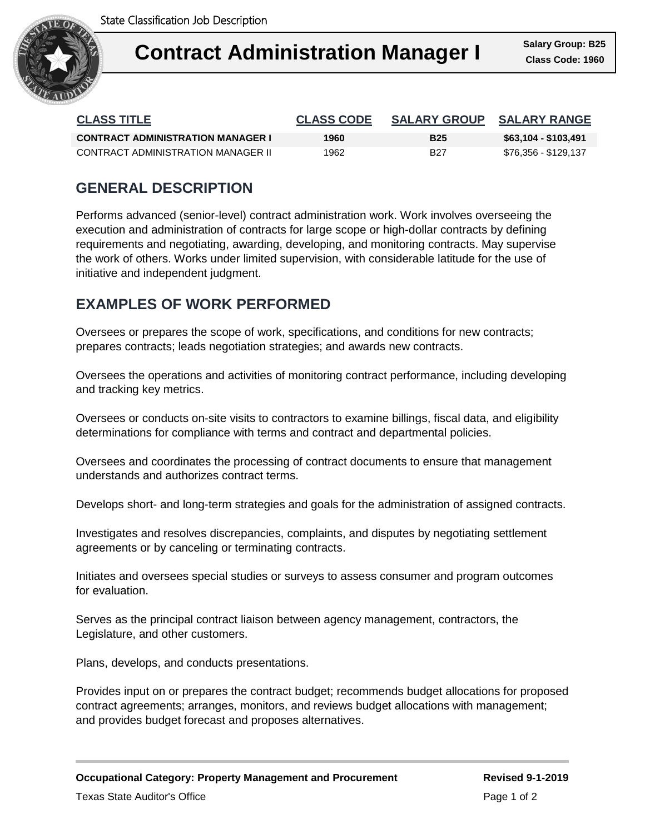

| <b>CLASS TITLE</b>                       | <b>CLASS CODE</b> | <b>SALARY GROUP</b> | <b>SALARY RANGE</b>  |
|------------------------------------------|-------------------|---------------------|----------------------|
| <b>CONTRACT ADMINISTRATION MANAGER I</b> | 1960              | <b>B25</b>          | \$63,104 - \$103,491 |
| CONTRACT ADMINISTRATION MANAGER II       | 1962              | B27                 | \$76,356 - \$129,137 |

# **GENERAL DESCRIPTION**

Performs advanced (senior-level) contract administration work. Work involves overseeing the execution and administration of contracts for large scope or high-dollar contracts by defining requirements and negotiating, awarding, developing, and monitoring contracts. May supervise the work of others. Works under limited supervision, with considerable latitude for the use of initiative and independent judgment.

## **EXAMPLES OF WORK PERFORMED**

Oversees or prepares the scope of work, specifications, and conditions for new contracts; prepares contracts; leads negotiation strategies; and awards new contracts.

Oversees the operations and activities of monitoring contract performance, including developing and tracking key metrics.

Oversees or conducts on-site visits to contractors to examine billings, fiscal data, and eligibility determinations for compliance with terms and contract and departmental policies.

Oversees and coordinates the processing of contract documents to ensure that management understands and authorizes contract terms.

Develops short- and long-term strategies and goals for the administration of assigned contracts.

Investigates and resolves discrepancies, complaints, and disputes by negotiating settlement agreements or by canceling or terminating contracts.

Initiates and oversees special studies or surveys to assess consumer and program outcomes for evaluation.

Serves as the principal contract liaison between agency management, contractors, the Legislature, and other customers.

Plans, develops, and conducts presentations.

Provides input on or prepares the contract budget; recommends budget allocations for proposed contract agreements; arranges, monitors, and reviews budget allocations with management; and provides budget forecast and proposes alternatives.